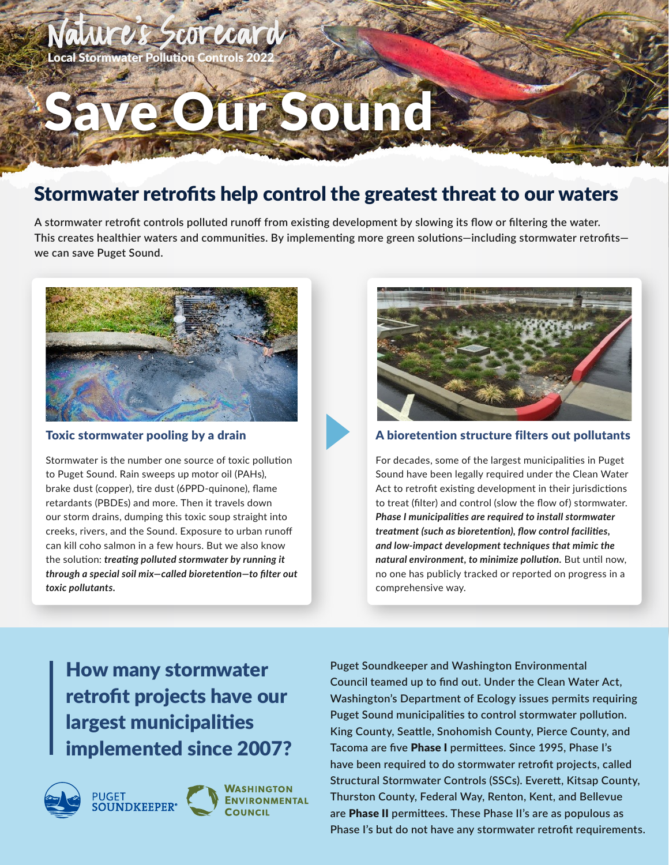## Natures Scorecard **Local Stormwater Pollution Controls 20**

# Save Our Sound

# Stormwater retrofits help control the greatest threat to our waters

**A stormwater retrofit controls polluted runoff from existing development by slowing its flow or filtering the water. This creates healthier waters and communities. By implementing more green solutions—including stormwater retrofits we can save Puget Sound.**



### Toxic stormwater pooling by a drain

Stormwater is the number one source of toxic pollution to Puget Sound. Rain sweeps up motor oil (PAHs), brake dust (copper), tire dust (6PPD-quinone), flame retardants (PBDEs) and more. Then it travels down our storm drains, dumping this toxic soup straight into creeks, rivers, and the Sound. Exposure to urban runoff can kill coho salmon in a few hours. But we also know the solution: *treating polluted stormwater by running it through a special soil mix—called bioretention—to filter out toxic pollutants.*



**CARL** 

## A bioretention structure filters out pollutants

For decades, some of the largest municipalities in Puget Sound have been legally required under the Clean Water Act to retrofit existing development in their jurisdictions to treat (filter) and control (slow the flow of) stormwater. *Phase I municipalities are required to install stormwater treatment (such as bioretention), flow control facilities, and low-impact development techniques that mimic the natural environment, to minimize pollution.* But until now, no one has publicly tracked or reported on progress in a comprehensive way.

# How many stormwater retrofit projects have our largest municipalities implemented since 2007?





**ASHINGTON ENVIRONMENTAL**  **Puget Soundkeeper and Washington Environmental Council teamed up to find out. Under the Clean Water Act, Washington's Department of Ecology issues permits requiring Puget Sound municipalities to control stormwater pollution. King County, Seattle, Snohomish County, Pierce County, and Tacoma are five** Phase I **permittees. Since 1995, Phase I's have been required to do stormwater retrofit projects, called Structural Stormwater Controls (SSCs). Everett, Kitsap County, Thurston County, Federal Way, Renton, Kent, and Bellevue are** Phase II **permittees. These Phase II's are as populous as Phase I's but do not have any stormwater retrofit requirements.**